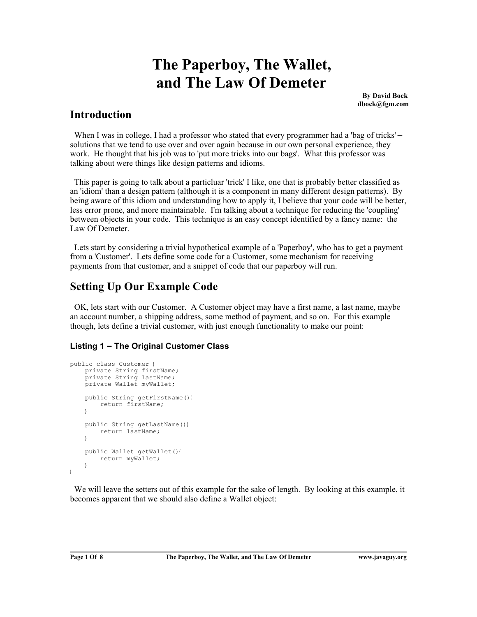# **The Paperboy, The Wallet, and The Law Of Demeter**

**By David Bock dbock@fgm.com**

### **Introduction**

When I was in college, I had a professor who stated that every programmer had a 'bag of tricks' – solutions that we tend to use over and over again because in our own personal experience, they work. He thought that his job was to 'put more tricks into our bags'. What this professor was talking about were things like design patterns and idioms.

 This paper is going to talk about a particluar 'trick' I like, one that is probably better classified as an 'idiom' than a design pattern (although it is a component in many different design patterns). By being aware of this idiom and understanding how to apply it, I believe that your code will be better, less error prone, and more maintainable. I'm talking about a technique for reducing the 'coupling' between objects in your code. This technique is an easy concept identified by a fancy name: the Law Of Demeter.

 Lets start by considering a trivial hypothetical example of a 'Paperboy', who has to get a payment from a 'Customer'. Lets define some code for a Customer, some mechanism for receiving payments from that customer, and a snippet of code that our paperboy will run.

# **Setting Up Our Example Code**

 OK, lets start with our Customer. A Customer object may have a first name, a last name, maybe an account number, a shipping address, some method of payment, and so on. For this example though, lets define a trivial customer, with just enough functionality to make our point:

### **Listing 1 – The Original Customer Class**

```
public class Customer {
     private String firstName;
      private String lastName;
      private Wallet myWallet;
      public String getFirstName(){
           return firstName;
\qquad \qquad \} public String getLastName(){
          return lastName;
\qquad \qquad \} public Wallet getWallet(){
          return myWallet;
\qquad \qquad \}}
```
 We will leave the setters out of this example for the sake of length. By looking at this example, it becomes apparent that we should also define a Wallet object: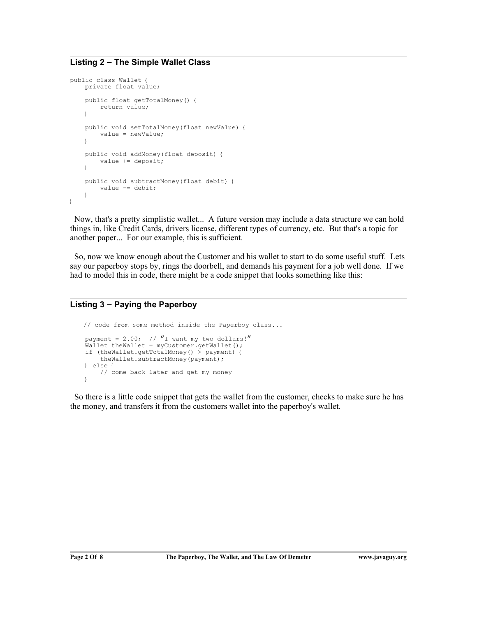### **Listing 2 – The Simple Wallet Class**

```
public class Wallet {
     private float value;
     public float getTotalMoney() {
         return value;
\qquad \qquad \} public void setTotalMoney(float newValue) {
         value = newValue;
     }
     public void addMoney(float deposit) {
          value += deposit;
\qquad \qquad \} public void subtractMoney(float debit) {
        value - debit;
\qquad \qquad \}}
```
 Now, that's a pretty simplistic wallet... A future version may include a data structure we can hold things in, like Credit Cards, drivers license, different types of currency, etc. But that's a topic for another paper... For our example, this is sufficient.

 So, now we know enough about the Customer and his wallet to start to do some useful stuff. Lets say our paperboy stops by, rings the doorbell, and demands his payment for a job well done. If we had to model this in code, there might be a code snippet that looks something like this:

#### **Listing 3 – Paying the Paperboy**

```
 // code from some method inside the Paperboy class...
   payment = 2.00; // "I want my two dollars!"
    Wallet theWallet = myCustomer.getWallet();
    if (theWallet.getTotalMoney() > payment) {
         theWallet.subtractMoney(payment);
    } else {
         // come back later and get my money
\qquad \qquad \}
```
 So there is a little code snippet that gets the wallet from the customer, checks to make sure he has the money, and transfers it from the customers wallet into the paperboy's wallet.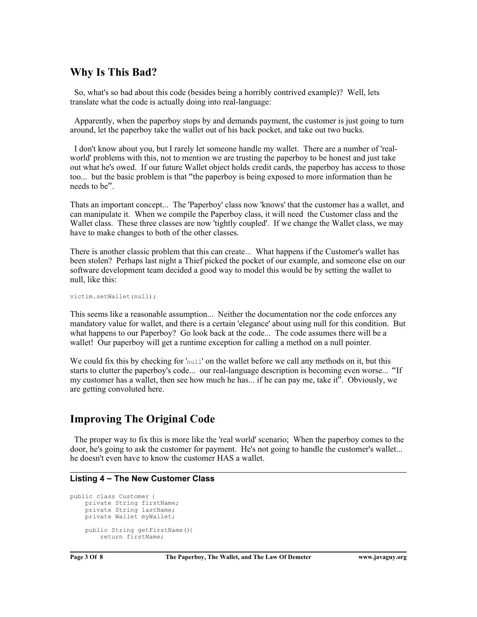### **Why Is This Bad?**

 So, what's so bad about this code (besides being a horribly contrived example)? Well, lets translate what the code is actually doing into real-language:

 Apparently, when the paperboy stops by and demands payment, the customer is just going to turn around, let the paperboy take the wallet out of his back pocket, and take out two bucks.

 I don't know about you, but I rarely let someone handle my wallet. There are a number of 'realworld' problems with this, not to mention we are trusting the paperboy to be honest and just take out what he's owed. If our future Wallet object holds credit cards, the paperboy has access to those too... but the basic problem is that "the paperboy is being exposed to more information than he needs to be".

Thats an important concept... The 'Paperboy' class now 'knows' that the customer has a wallet, and can manipulate it. When we compile the Paperboy class, it will need the Customer class and the Wallet class. These three classes are now 'tightly coupled'. If we change the Wallet class, we may have to make changes to both of the other classes.

There is another classic problem that this can create... What happens if the Customer's wallet has been stolen? Perhaps last night a Thief picked the pocket of our example, and someone else on our software development team decided a good way to model this would be by setting the wallet to null, like this:

victim.setWallet(null);

This seems like a reasonable assumption... Neither the documentation nor the code enforces any mandatory value for wallet, and there is a certain 'elegance' about using null for this condition. But what happens to our Paperboy? Go look back at the code... The code assumes there will be a wallet! Our paperboy will get a runtime exception for calling a method on a null pointer.

We could fix this by checking for 'null' on the wallet before we call any methods on it, but this starts to clutter the paperboy's code... our real-language description is becoming even worse... "If my customer has a wallet, then see how much he has... if he can pay me, take it". Obviously, we are getting convoluted here.

### **Improving The Original Code**

 The proper way to fix this is more like the 'real world' scenario; When the paperboy comes to the door, he's going to ask the customer for payment. He's not going to handle the customer's wallet... he doesn't even have to know the customer HAS a wallet.

#### **Listing 4 – The New Customer Class**

```
public class Customer {
    private String firstName;
    private String lastName;
    private Wallet myWallet;
    public String getFirstName(){
         return firstName;
```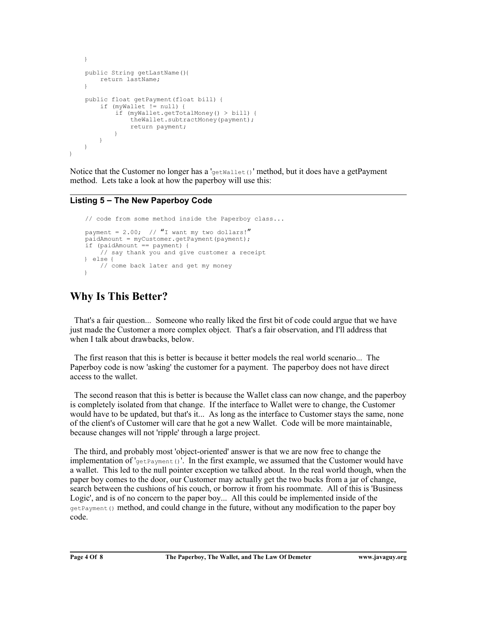```
 }
     public String getLastName(){
         return lastName;
\qquad \qquad \} public float getPayment(float bill) {
         if (myWallet != null) {
             if (myWallet.getTotalMoney() > bill) {
                  theWallet.subtractMoney(payment);
            return payment;
 }
         }
    }
}
```
Notice that the Customer no longer has a 'getWallet()' method, but it does have a getPayment method. Lets take a look at how the paperboy will use this:

### **Listing 5 – The New Paperboy Code**

```
 // code from some method inside the Paperboy class...
   payment = 2.00; // "I want my two dollars!"
   p = 1dAmount = myCustomer.getPayment(payment);
    if (paidAmount == payment) {
         // say thank you and give customer a receipt
       } else { 
         // come back later and get my money
\qquad \qquad \}
```
### **Why Is This Better?**

 That's a fair question... Someone who really liked the first bit of code could argue that we have just made the Customer a more complex object. That's a fair observation, and I'll address that when I talk about drawbacks, below.

 The first reason that this is better is because it better models the real world scenario... The Paperboy code is now 'asking' the customer for a payment. The paperboy does not have direct access to the wallet.

 The second reason that this is better is because the Wallet class can now change, and the paperboy is completely isolated from that change. If the interface to Wallet were to change, the Customer would have to be updated, but that's it... As long as the interface to Customer stays the same, none of the client's of Customer will care that he got a new Wallet. Code will be more maintainable, because changes will not 'ripple' through a large project.

 The third, and probably most 'object-oriented' answer is that we are now free to change the implementation of  $I<sub>getPayment()</sub>$ . In the first example, we assumed that the Customer would have a wallet. This led to the null pointer exception we talked about. In the real world though, when the paper boy comes to the door, our Customer may actually get the two bucks from a jar of change, search between the cushions of his couch, or borrow it from his roommate. All of this is 'Business Logic', and is of no concern to the paper boy... All this could be implemented inside of the getPayment() method, and could change in the future, without any modification to the paper boy code.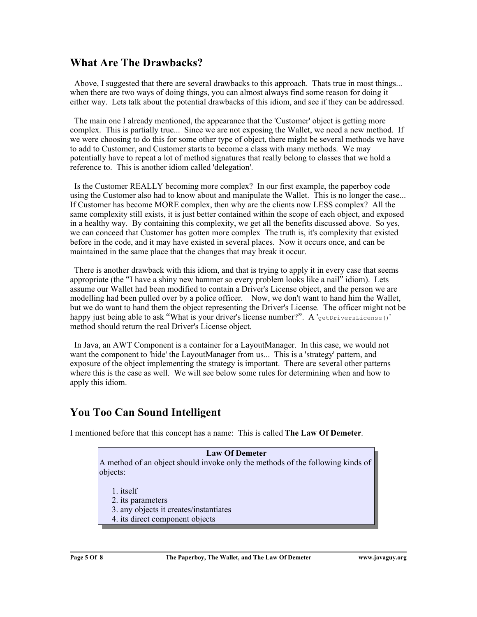### **What Are The Drawbacks?**

 Above, I suggested that there are several drawbacks to this approach. Thats true in most things... when there are two ways of doing things, you can almost always find some reason for doing it either way. Lets talk about the potential drawbacks of this idiom, and see if they can be addressed.

 The main one I already mentioned, the appearance that the 'Customer' object is getting more complex. This is partially true... Since we are not exposing the Wallet, we need a new method. If we were choosing to do this for some other type of object, there might be several methods we have to add to Customer, and Customer starts to become a class with many methods. We may potentially have to repeat a lot of method signatures that really belong to classes that we hold a reference to. This is another idiom called 'delegation'.

 Is the Customer REALLY becoming more complex? In our first example, the paperboy code using the Customer also had to know about and manipulate the Wallet. This is no longer the case... If Customer has become MORE complex, then why are the clients now LESS complex? All the same complexity still exists, it is just better contained within the scope of each object, and exposed in a healthy way. By containing this complexity, we get all the benefits discussed above. So yes, we can conceed that Customer has gotten more complex The truth is, it's complexity that existed before in the code, and it may have existed in several places. Now it occurs once, and can be maintained in the same place that the changes that may break it occur.

 There is another drawback with this idiom, and that is trying to apply it in every case that seems appropriate (the "I have a shiny new hammer so every problem looks like a nail" idiom). Lets assume our Wallet had been modified to contain a Driver's License object, and the person we are modelling had been pulled over by a police officer. Now, we don't want to hand him the Wallet, but we do want to hand them the object representing the Driver's License. The officer might not be happy just being able to ask "What is your driver's license number?". A 'getDriversLicense()' method should return the real Driver's License object.

 In Java, an AWT Component is a container for a LayoutManager. In this case, we would not want the component to 'hide' the LayoutManager from us... This is a 'strategy' pattern, and exposure of the object implementing the strategy is important. There are several other patterns where this is the case as well. We will see below some rules for determining when and how to apply this idiom.

# **You Too Can Sound Intelligent**

I mentioned before that this concept has a name: This is called **The Law Of Demeter**.

**Law Of Demeter** A method of an object should invoke only the methods of the following kinds of objects:

1. itself

2. its parameters

- 3. any objects it creates/instantiates
- 4. its direct component objects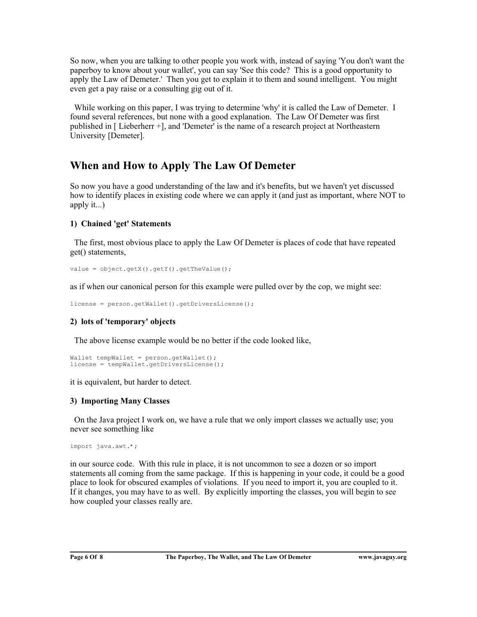So now, when you are talking to other people you work with, instead of saying 'You don't want the paperboy to know about your wallet', you can say 'See this code? This is a good opportunity to apply the Law of Demeter.' Then you get to explain it to them and sound intelligent. You might even get a pay raise or a consulting gig out of it.

While working on this paper, I was trying to determine 'why' it is called the Law of Demeter. I found several references, but none with a good explanation. The Law Of Demeter was first published in [ Lieberherr +], and 'Demeter' is the name of a research project at Northeastern University [Demeter].

# **When and How to Apply The Law Of Demeter**

So now you have a good understanding of the law and it's benefits, but we haven't yet discussed how to identify places in existing code where we can apply it (and just as important, where NOT to apply it...)

### **1) Chained 'get' Statements**

 The first, most obvious place to apply the Law Of Demeter is places of code that have repeated get() statements,

```
value = object.getX().getY().getTheValue();
```
as if when our canonical person for this example were pulled over by the cop, we might see:

```
license = person.getWallet().getDriversLicense();
```
### **2) lots of 'temporary' objects**

The above license example would be no better if the code looked like,

```
Wallet tempWallet = person.getWallet();
license = tempWallet.getDriversLicense();
```
it is equivalent, but harder to detect.

### **3) Importing Many Classes**

 On the Java project I work on, we have a rule that we only import classes we actually use; you never see something like

```
import java.awt.*;
```
in our source code. With this rule in place, it is not uncommon to see a dozen or so import statements all coming from the same package. If this is happening in your code, it could be a good place to look for obscured examples of violations. If you need to import it, you are coupled to it. If it changes, you may have to as well. By explicitly importing the classes, you will begin to see how coupled your classes really are.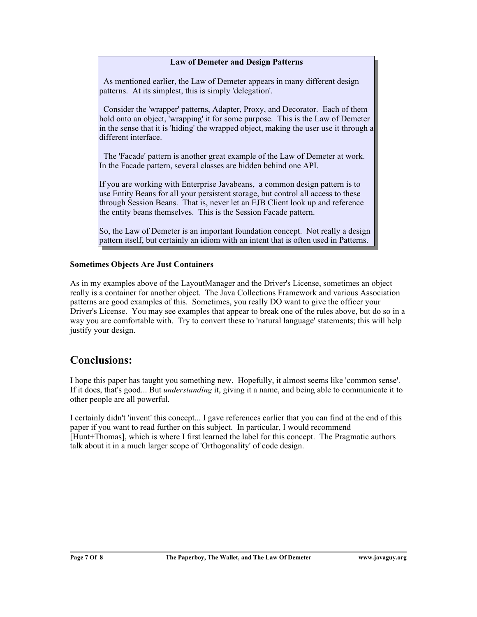#### **Law of Demeter and Design Patterns**

 As mentioned earlier, the Law of Demeter appears in many different design patterns. At its simplest, this is simply 'delegation'.

 Consider the 'wrapper' patterns, Adapter, Proxy, and Decorator. Each of them hold onto an object, 'wrapping' it for some purpose. This is the Law of Demeter in the sense that it is 'hiding' the wrapped object, making the user use it through a different interface.

 The 'Facade' pattern is another great example of the Law of Demeter at work. In the Facade pattern, several classes are hidden behind one API.

If you are working with Enterprise Javabeans, a common design pattern is to use Entity Beans for all your persistent storage, but control all access to these through Session Beans. That is, never let an EJB Client look up and reference the entity beans themselves. This is the Session Facade pattern.

So, the Law of Demeter is an important foundation concept. Not really a design pattern itself, but certainly an idiom with an intent that is often used in Patterns.

#### **Sometimes Objects Are Just Containers**

As in my examples above of the LayoutManager and the Driver's License, sometimes an object really is a container for another object. The Java Collections Framework and various Association patterns are good examples of this. Sometimes, you really DO want to give the officer your Driver's License. You may see examples that appear to break one of the rules above, but do so in a way you are comfortable with. Try to convert these to 'natural language' statements; this will help justify your design.

### **Conclusions:**

I hope this paper has taught you something new. Hopefully, it almost seems like 'common sense'. If it does, that's good... But *understanding* it, giving it a name, and being able to communicate it to other people are all powerful.

I certainly didn't 'invent' this concept... I gave references earlier that you can find at the end of this paper if you want to read further on this subject. In particular, I would recommend [Hunt+Thomas], which is where I first learned the label for this concept. The Pragmatic authors talk about it in a much larger scope of 'Orthogonality' of code design.